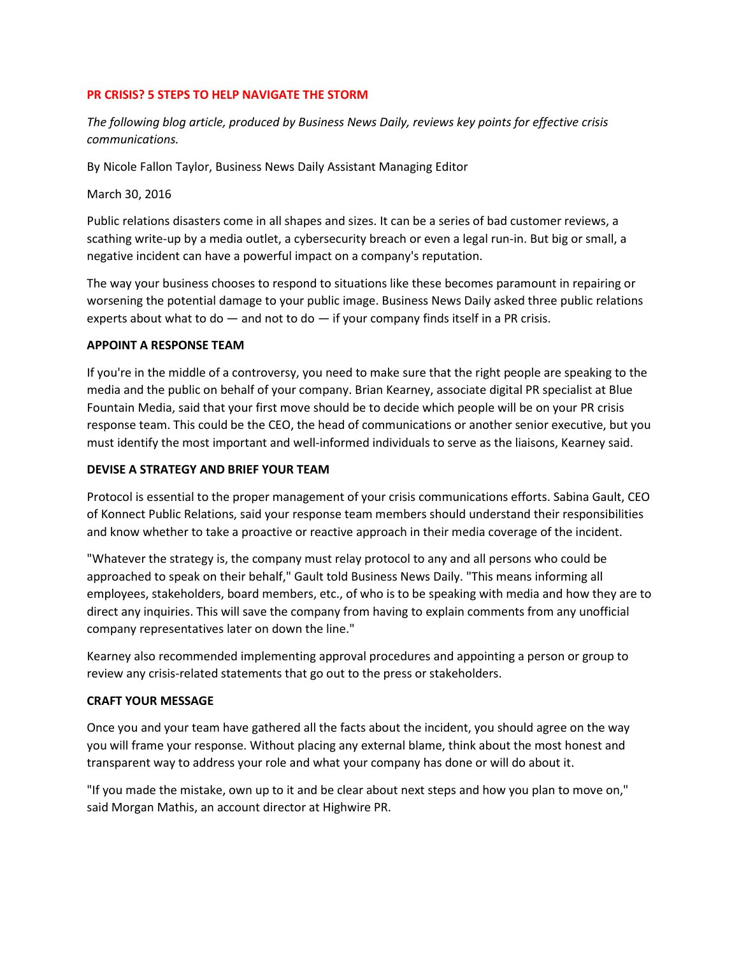## **PR CRISIS? 5 STEPS TO HELP NAVIGATE THE STORM**

*The following blog article, produced by Business News Daily, reviews key points for effective crisis communications.* 

By Nicole Fallon Taylor, Business News Daily Assistant Managing Editor

March 30, 2016

Public relations disasters come in all shapes and sizes. It can be a series of bad customer reviews, a scathing write-up by a media outlet, a cybersecurity breach or even a legal run-in. But big or small, a negative incident can have a powerful impact on a company's reputation.

The way your business chooses to respond to situations like these becomes paramount in repairing or worsening the potential damage to your public image. Business News Daily asked three public relations experts about what to do  $-$  and not to do  $-$  if your company finds itself in a PR crisis.

## **APPOINT A RESPONSE TEAM**

If you're in the middle of a controversy, you need to make sure that the right people are speaking to the media and the public on behalf of your company. Brian Kearney, associate digital PR specialist at Blue Fountain Media, said that your first move should be to decide which people will be on your PR crisis response team. This could be the CEO, the head of communications or another senior executive, but you must identify the most important and well-informed individuals to serve as the liaisons, Kearney said.

## **DEVISE A STRATEGY AND BRIEF YOUR TEAM**

Protocol is essential to the proper management of your crisis communications efforts. Sabina Gault, CEO of Konnect Public Relations, said your response team members should understand their responsibilities and know whether to take a proactive or reactive approach in their media coverage of the incident.

"Whatever the strategy is, the company must relay protocol to any and all persons who could be approached to speak on their behalf," Gault told Business News Daily. "This means informing all employees, stakeholders, board members, etc., of who is to be speaking with media and how they are to direct any inquiries. This will save the company from having to explain comments from any unofficial company representatives later on down the line."

Kearney also recommended implementing approval procedures and appointing a person or group to review any crisis-related statements that go out to the press or stakeholders.

#### **CRAFT YOUR MESSAGE**

Once you and your team have gathered all the facts about the incident, you should agree on the way you will frame your response. Without placing any external blame, think about the most honest and transparent way to address your role and what your company has done or will do about it.

"If you made the mistake, own up to it and be clear about next steps and how you plan to move on," said Morgan Mathis, an account director at Highwire PR.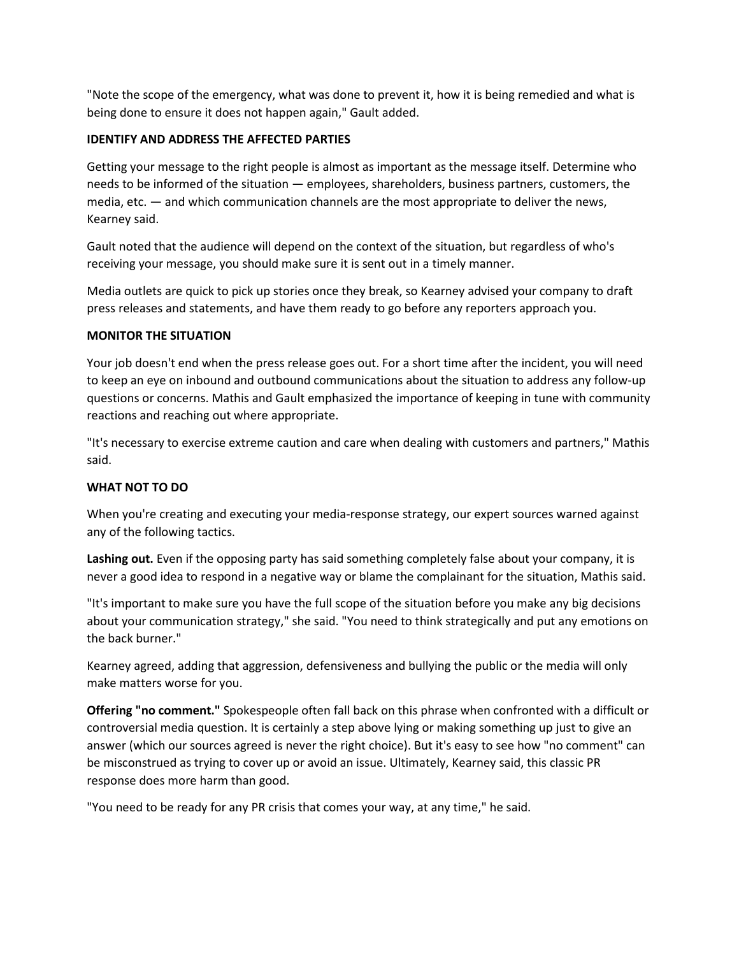"Note the scope of the emergency, what was done to prevent it, how it is being remedied and what is being done to ensure it does not happen again," Gault added.

# **IDENTIFY AND ADDRESS THE AFFECTED PARTIES**

Getting your message to the right people is almost as important as the message itself. Determine who needs to be informed of the situation — employees, shareholders, business partners, customers, the media, etc. — and which communication channels are the most appropriate to deliver the news, Kearney said.

Gault noted that the audience will depend on the context of the situation, but regardless of who's receiving your message, you should make sure it is sent out in a timely manner.

Media outlets are quick to pick up stories once they break, so Kearney advised your company to draft press releases and statements, and have them ready to go before any reporters approach you.

# **MONITOR THE SITUATION**

Your job doesn't end when the press release goes out. For a short time after the incident, you will need to keep an eye on inbound and outbound communications about the situation to address any follow-up questions or concerns. Mathis and Gault emphasized the importance of keeping in tune with community reactions and reaching out where appropriate.

"It's necessary to exercise extreme caution and care when dealing with customers and partners," Mathis said.

# **WHAT NOT TO DO**

When you're creating and executing your media-response strategy, our expert sources warned against any of the following tactics.

**Lashing out.** Even if the opposing party has said something completely false about your company, it is never a good idea to respond in a negative way or blame the complainant for the situation, Mathis said.

"It's important to make sure you have the full scope of the situation before you make any big decisions about your communication strategy," she said. "You need to think strategically and put any emotions on the back burner."

Kearney agreed, adding that aggression, defensiveness and bullying the public or the media will only make matters worse for you.

**Offering "no comment."** Spokespeople often fall back on this phrase when confronted with a difficult or controversial media question. It is certainly a step above lying or making something up just to give an answer (which our sources agreed is never the right choice). But it's easy to see how "no comment" can be misconstrued as trying to cover up or avoid an issue. Ultimately, Kearney said, this classic PR response does more harm than good.

"You need to be ready for any PR crisis that comes your way, at any time," he said.